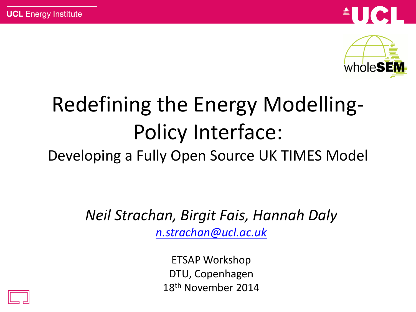



## Redefining the Energy Modelling-Policy Interface:

Developing a Fully Open Source UK TIMES Model

*Neil Strachan, Birgit Fais, Hannah Daly [n.strachan@ucl.ac.uk](mailto:n.strachan@ucl.ac.uk)*

> ETSAP Workshop DTU, Copenhagen 18th November 2014

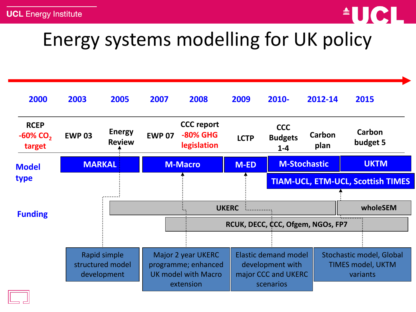

### Energy systems modelling for UK policy

| 2000                                             | 2003                                            | 2005                           | 2007                                                                                 | 2008                                                | 2009                                                                                | 2010-                                   | 2012-14             | 2015                                                             |
|--------------------------------------------------|-------------------------------------------------|--------------------------------|--------------------------------------------------------------------------------------|-----------------------------------------------------|-------------------------------------------------------------------------------------|-----------------------------------------|---------------------|------------------------------------------------------------------|
| <b>RCEP</b><br>$-60\%$ CO <sub>2</sub><br>target | <b>EWP 03</b>                                   | <b>Energy</b><br><b>Review</b> | <b>EWP 07</b>                                                                        | <b>CCC</b> report<br><b>-80% GHG</b><br>legislation | <b>LCTP</b>                                                                         | <b>CCC</b><br><b>Budgets</b><br>$1 - 4$ | Carbon<br>plan      | Carbon<br>budget 5                                               |
| <b>Model</b>                                     | <b>MARKAL</b>                                   |                                | <b>M-Macro</b>                                                                       |                                                     | <b>M-ED</b>                                                                         |                                         | <b>M-Stochastic</b> | <b>UKTM</b>                                                      |
| type                                             |                                                 |                                |                                                                                      |                                                     |                                                                                     |                                         |                     | <b>TIAM-UCL, ETM-UCL, Scottish TIMES</b>                         |
| <b>Funding</b>                                   |                                                 |                                |                                                                                      |                                                     |                                                                                     |                                         |                     |                                                                  |
|                                                  | Rapid simple<br>structured model<br>development |                                | <b>UKERC</b>                                                                         |                                                     |                                                                                     |                                         | wholeSEM            |                                                                  |
|                                                  |                                                 |                                | RCUK, DECC, CCC, Ofgem, NGOs, FP7                                                    |                                                     |                                                                                     |                                         |                     |                                                                  |
|                                                  |                                                 |                                |                                                                                      |                                                     |                                                                                     |                                         |                     |                                                                  |
|                                                  |                                                 |                                | Major 2 year UKERC<br>programme; enhanced<br><b>UK model with Macro</b><br>extension |                                                     | <b>Elastic demand model</b><br>development with<br>major CCC and UKERC<br>scenarios |                                         |                     | Stochastic model, Global<br><b>TIMES model, UKTM</b><br>variants |

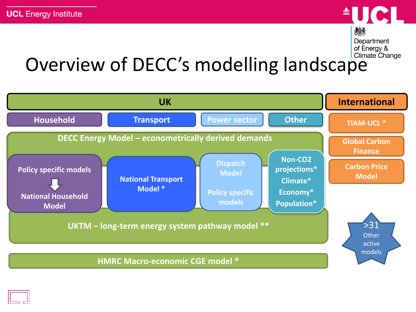

Department of Energy &

### Overview of DECC's modelling landscape



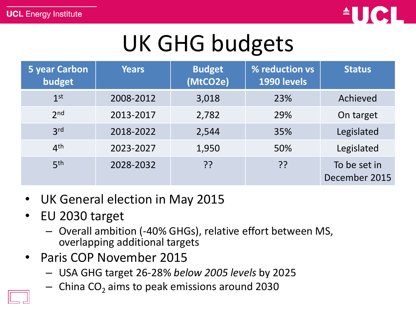

## UK GHG budgets

| <b>5 year Carbon</b><br>budget | <b>Years</b> | <b>Budget</b><br>(MtCO2e) | % reduction vs<br>1990 levels | <b>Status</b>                 |
|--------------------------------|--------------|---------------------------|-------------------------------|-------------------------------|
| 1 <sup>st</sup>                | 2008-2012    | 3,018                     | 23%                           | Achieved                      |
| 2 <sub>nd</sub>                | 2013-2017    | 2,782                     | 29%                           | On target                     |
| 3 <sup>rd</sup>                | 2018-2022    | 2,544                     | 35%                           | Legislated                    |
| 4 <sup>th</sup>                | 2023-2027    | 1,950                     | 50%                           | Legislated                    |
| 5 <sup>th</sup>                | 2028-2032    | ??                        | ??                            | To be set in<br>December 2015 |

- UK General election in May 2015
- EU 2030 target
	- Overall ambition (-40% GHGs), relative effort between MS, overlapping additional targets
- Paris COP November 2015
	- USA GHG target 26-28% *below 2005 levels* by 2025
	- $-$  China CO<sub>2</sub> aims to peak emissions around 2030

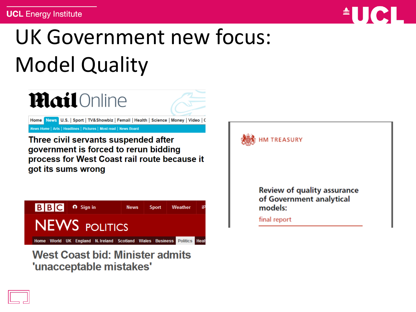

## UK Government new focus: Model Quality



Home News U.S. | Sport | TV& Showbiz | Femail | Health | Science | Money | Video | C

News Home | Arts | Headlines | Pictures | Most read | News Board

Three civil servants suspended after government is forced to rerun bidding process for West Coast rail route because it got its sums wrong



**West Coast bid: Minister admits** 'unacceptable mistakes'

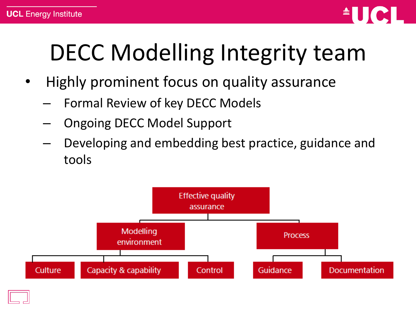

# DECC Modelling Integrity team

- Highly prominent focus on quality assurance
	- Formal Review of key DECC Models
	- Ongoing DECC Model Support
	- Developing and embedding best practice, guidance and tools

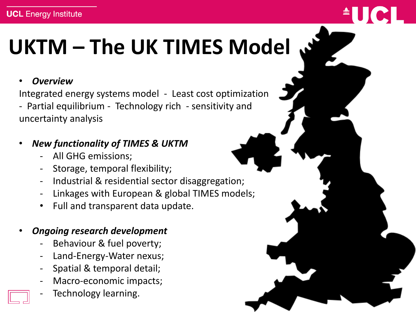## **UKTM – The UK TIMES Model**

#### • *Overview*

Integrated energy systems model - Least cost optimization - Partial equilibrium - Technology rich - sensitivity and uncertainty analysis

#### • *New functionality of TIMES & UKTM*

- All GHG emissions;
- Storage, temporal flexibility;
- Industrial & residential sector disaggregation;
- Linkages with European & global TIMES models;
- Full and transparent data update.

#### • *Ongoing research development*

- Behaviour & fuel poverty;
- Land-Energy-Water nexus;
- Spatial & temporal detail;
- Macro-economic impacts;
- Technology learning.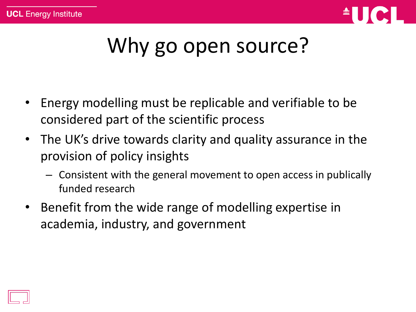

### Why go open source?

- Energy modelling must be replicable and verifiable to be considered part of the scientific process
- The UK's drive towards clarity and quality assurance in the provision of policy insights
	- Consistent with the general movement to open access in publically funded research
- Benefit from the wide range of modelling expertise in academia, industry, and government

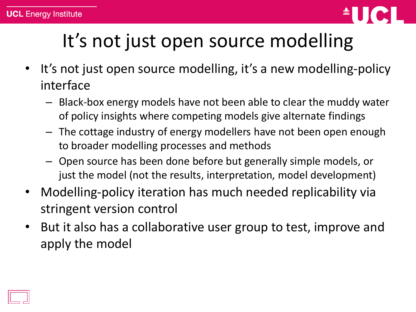

### It's not just open source modelling

- It's not just open source modelling, it's a new modelling-policy interface
	- Black-box energy models have not been able to clear the muddy water of policy insights where competing models give alternate findings
	- The cottage industry of energy modellers have not been open enough to broader modelling processes and methods
	- Open source has been done before but generally simple models, or just the model (not the results, interpretation, model development)
- Modelling-policy iteration has much needed replicability via stringent version control
- But it also has a collaborative user group to test, improve and apply the model

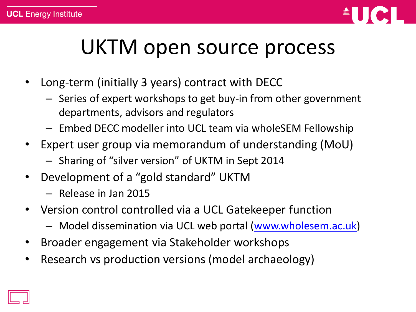

### UKTM open source process

- Long-term (initially 3 years) contract with DECC
	- Series of expert workshops to get buy-in from other government departments, advisors and regulators
	- Embed DECC modeller into UCL team via wholeSEM Fellowship
- Expert user group via memorandum of understanding (MoU)
	- Sharing of "silver version" of UKTM in Sept 2014
- Development of a "gold standard" UKTM
	- Release in Jan 2015
- Version control controlled via a UCL Gatekeeper function
	- Model dissemination via UCL web portal ([www.wholesem.ac.uk\)](http://www.wholesem.ac.uk/)
- Broader engagement via Stakeholder workshops
- Research vs production versions (model archaeology)

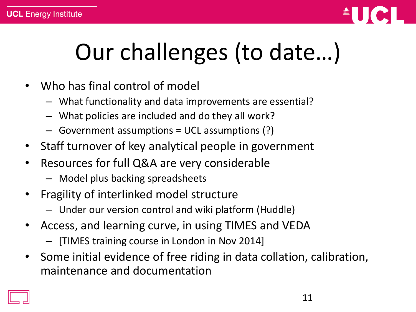

# Our challenges (to date…)

- Who has final control of model
	- What functionality and data improvements are essential?
	- What policies are included and do they all work?
	- Government assumptions = UCL assumptions (?)
- Staff turnover of key analytical people in government
- Resources for full Q&A are very considerable
	- Model plus backing spreadsheets
- Fragility of interlinked model structure
	- Under our version control and wiki platform (Huddle)
- Access, and learning curve, in using TIMES and VEDA
	- [TIMES training course in London in Nov 2014]
- Some initial evidence of free riding in data collation, calibration, maintenance and documentation